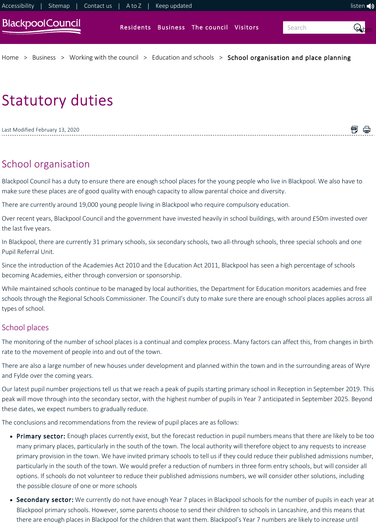

# Statutory duties

闸 骨 Last Modified February 13, 2020

## School organisation

Blackpool Council has a duty to ensure there are enough school places for the young people who live in Blackpool. We also have to make sure these places are of good quality with enough capacity to allow parental choice and diversity.

There are currently around 19,000 young people living in Blackpool who require compulsory education.

Over recent years, Blackpool Council and the government have invested heavily in school buildings, with around £50m invested over the last five years.

In Blackpool, there are currently 31 primary schools, six secondary schools, two all-through schools, three special schools and one Pupil Referral Unit.

Since the introduction of the Academies Act 2010 and the Education Act 2011, Blackpool has seen a high percentage of schools becoming Academies, either through conversion or sponsorship.

While maintained schools continue to be managed by local authorities, the Department for Education monitors academies and free schools through the Regional Schools Commissioner. The Council's duty to make sure there are enough school places applies across all types of school.

### School places

The monitoring of the number of school places is a continual and complex process. Many factors can affect this, from changes in birth rate to the movement of people into and out of the town.

There are also a large number of new houses under development and planned within the town and in the surrounding areas of Wyre and Fylde over the coming years.

Our latest pupil number projections tell us that we reach a peak of pupils starting primary school in Reception in September 2019. This peak will move through into the secondary sector, with the highest number of pupils in Year 7 anticipated in September 2025. Beyond these dates, we expect numbers to gradually reduce.

The conclusions and recommendations from the review of pupil places are as follows:

- Primary sector: Enough places currently exist, but the forecast reduction in pupil numbers means that there are likely to be too many primary places, particularly in the south of the town. The local authority will therefore object to any requests to increase primary provision in the town. We have invited primary schools to tell us if they could reduce their published admissions number, particularly in the south of the town. We would prefer a reduction of numbers in three form entry schools, but will consider all options. If schools do not volunteer to reduce their published admissions numbers, we will consider other solutions, including the possible closure of one or more schools
- Secondary sector: We currently do not have enough Year 7 places in Blackpool schools for the number of pupils in each year at Blackpool primary schools. However, some parents choose to send their children to schools in Lancashire, and this means that there are enough places in Blackpool for the children that want them. Blackpool's Year 7 numbers are likely to increase until